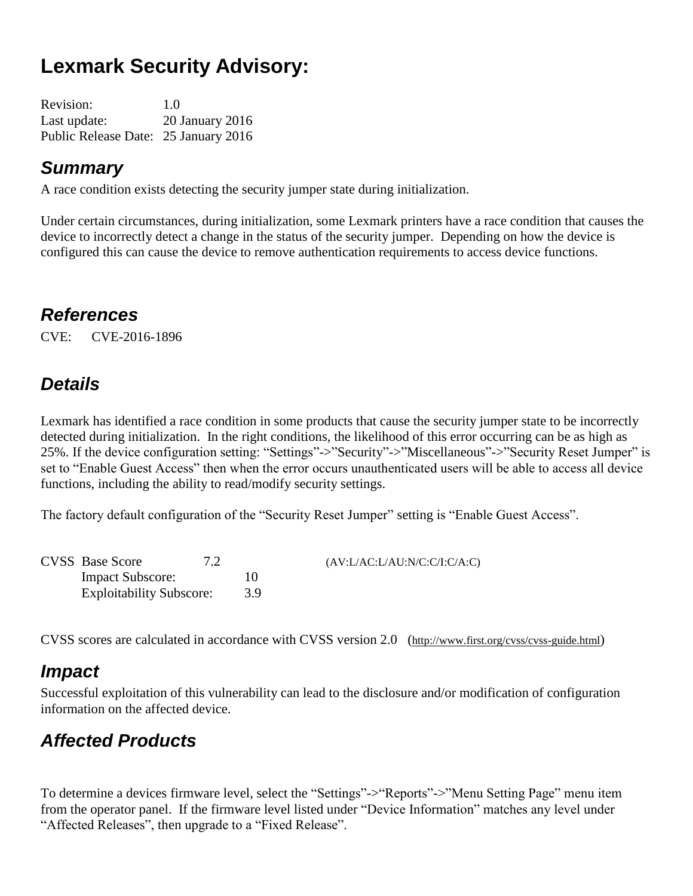# **Lexmark Security Advisory:**

| <b>Revision:</b>                     | 1.0             |
|--------------------------------------|-----------------|
| Last update:                         | 20 January 2016 |
| Public Release Date: 25 January 2016 |                 |

#### *Summary*

A race condition exists detecting the security jumper state during initialization.

Under certain circumstances, during initialization, some Lexmark printers have a race condition that causes the device to incorrectly detect a change in the status of the security jumper. Depending on how the device is configured this can cause the device to remove authentication requirements to access device functions.

#### *References*

CVE: CVE-2016-1896

#### *Details*

Lexmark has identified a race condition in some products that cause the security jumper state to be incorrectly detected during initialization. In the right conditions, the likelihood of this error occurring can be as high as 25%. If the device configuration setting: "Settings"->"Security"->"Miscellaneous"->"Security Reset Jumper" is set to "Enable Guest Access" then when the error occurs unauthenticated users will be able to access all device functions, including the ability to read/modify security settings.

The factory default configuration of the "Security Reset Jumper" setting is "Enable Guest Access".

| <b>CVSS</b> Base Score          |     | (AV: L/AC: L/AU: N/C: C/I: C/A: C) |
|---------------------------------|-----|------------------------------------|
| <b>Impact Subscore:</b>         | 10  |                                    |
| <b>Exploitability Subscore:</b> | 3.9 |                                    |

CVSS scores are calculated in accordance with CVSS version 2.0 (http://www.first.org/cvss/cvss-guide.html)

#### *Impact*

Successful exploitation of this vulnerability can lead to the disclosure and/or modification of configuration information on the affected device.

### *Affected Products*

To determine a devices firmware level, select the "Settings"->"Reports"->"Menu Setting Page" menu item from the operator panel. If the firmware level listed under "Device Information" matches any level under "Affected Releases", then upgrade to a "Fixed Release".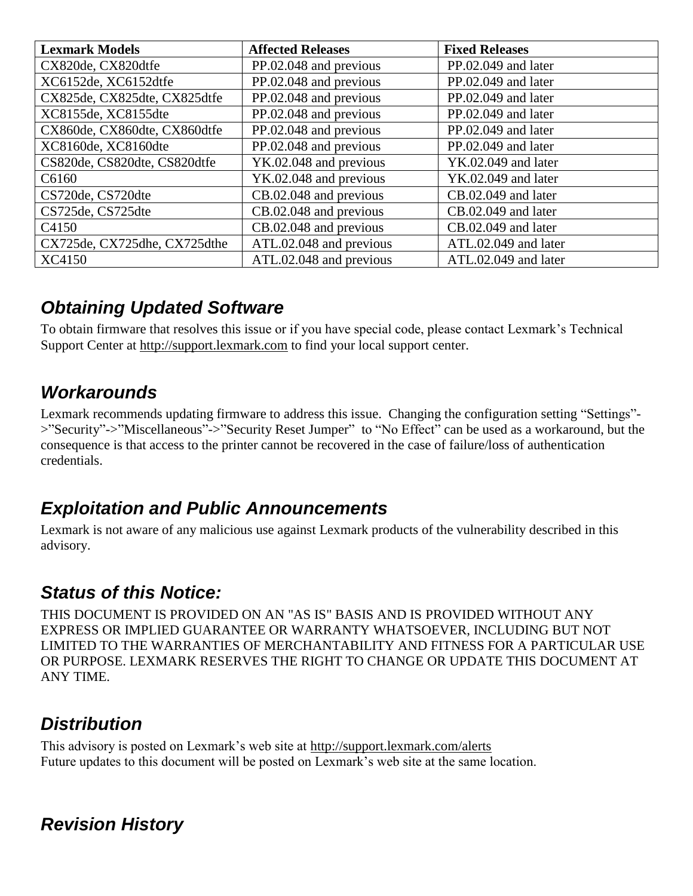| <b>Lexmark Models</b>        | <b>Affected Releases</b> | <b>Fixed Releases</b> |
|------------------------------|--------------------------|-----------------------|
| CX820de, CX820dtfe           | PP.02.048 and previous   | PP.02.049 and later   |
| XC6152de, XC6152dtfe         | PP.02.048 and previous   | PP.02.049 and later   |
| CX825de, CX825dte, CX825dtfe | PP.02.048 and previous   | PP.02.049 and later   |
| XC8155de, XC8155dte          | PP.02.048 and previous   | PP.02.049 and later   |
| CX860de, CX860dte, CX860dtfe | PP.02.048 and previous   | PP.02.049 and later   |
| XC8160de, XC8160dte          | PP.02.048 and previous   | PP.02.049 and later   |
| CS820de, CS820dte, CS820dtfe | YK.02.048 and previous   | YK.02.049 and later   |
| C6160                        | YK.02.048 and previous   | $YK.02.049$ and later |
| CS720de, CS720dte            | CB.02.048 and previous   | CB.02.049 and later   |
| CS725de, CS725dte            | CB.02.048 and previous   | CB.02.049 and later   |
| C <sub>4150</sub>            | CB.02.048 and previous   | CB.02.049 and later   |
| CX725de, CX725dhe, CX725dthe | ATL.02.048 and previous  | ATL.02.049 and later  |
| XC4150                       | ATL.02.048 and previous  | ATL.02.049 and later  |

#### *Obtaining Updated Software*

To obtain firmware that resolves this issue or if you have special code, please contact Lexmark's Technical Support Center at [http://support.lexmark.com](http://support.lexmark.com/) to find your local support center.

### *Workarounds*

Lexmark recommends updating firmware to address this issue. Changing the configuration setting "Settings"- >"Security"->"Miscellaneous"->"Security Reset Jumper" to "No Effect" can be used as a workaround, but the consequence is that access to the printer cannot be recovered in the case of failure/loss of authentication credentials.

### *Exploitation and Public Announcements*

Lexmark is not aware of any malicious use against Lexmark products of the vulnerability described in this advisory.

## *Status of this Notice:*

THIS DOCUMENT IS PROVIDED ON AN "AS IS" BASIS AND IS PROVIDED WITHOUT ANY EXPRESS OR IMPLIED GUARANTEE OR WARRANTY WHATSOEVER, INCLUDING BUT NOT LIMITED TO THE WARRANTIES OF MERCHANTABILITY AND FITNESS FOR A PARTICULAR USE OR PURPOSE. LEXMARK RESERVES THE RIGHT TO CHANGE OR UPDATE THIS DOCUMENT AT ANY TIME.

## *Distribution*

This advisory is posted on Lexmark's web site at<http://support.lexmark.com/alerts> Future updates to this document will be posted on Lexmark's web site at the same location.

## *Revision History*